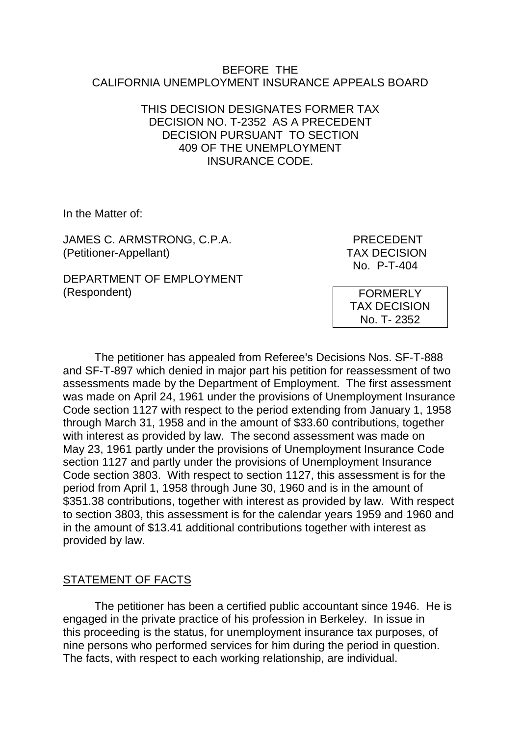#### BEFORE THE CALIFORNIA UNEMPLOYMENT INSURANCE APPEALS BOARD

### THIS DECISION DESIGNATES FORMER TAX DECISION NO. T-2352 AS A PRECEDENT DECISION PURSUANT TO SECTION 409 OF THE UNEMPLOYMENT INSURANCE CODE.

In the Matter of:

JAMES C. ARMSTRONG, C.P.A. PRECEDENT (Petitioner-Appellant) TAX DECISION

DEPARTMENT OF EMPLOYMENT (Respondent)

No. P-T-404

FORMERLY TAX DECISION No. T- 2352

The petitioner has appealed from Referee's Decisions Nos. SF-T-888 and SF-T-897 which denied in major part his petition for reassessment of two assessments made by the Department of Employment. The first assessment was made on April 24, 1961 under the provisions of Unemployment Insurance Code section 1127 with respect to the period extending from January 1, 1958 through March 31, 1958 and in the amount of \$33.60 contributions, together with interest as provided by law. The second assessment was made on May 23, 1961 partly under the provisions of Unemployment Insurance Code section 1127 and partly under the provisions of Unemployment Insurance Code section 3803. With respect to section 1127, this assessment is for the period from April 1, 1958 through June 30, 1960 and is in the amount of \$351.38 contributions, together with interest as provided by law. With respect to section 3803, this assessment is for the calendar years 1959 and 1960 and in the amount of \$13.41 additional contributions together with interest as provided by law.

## STATEMENT OF FACTS

The petitioner has been a certified public accountant since 1946. He is engaged in the private practice of his profession in Berkeley. In issue in this proceeding is the status, for unemployment insurance tax purposes, of nine persons who performed services for him during the period in question. The facts, with respect to each working relationship, are individual.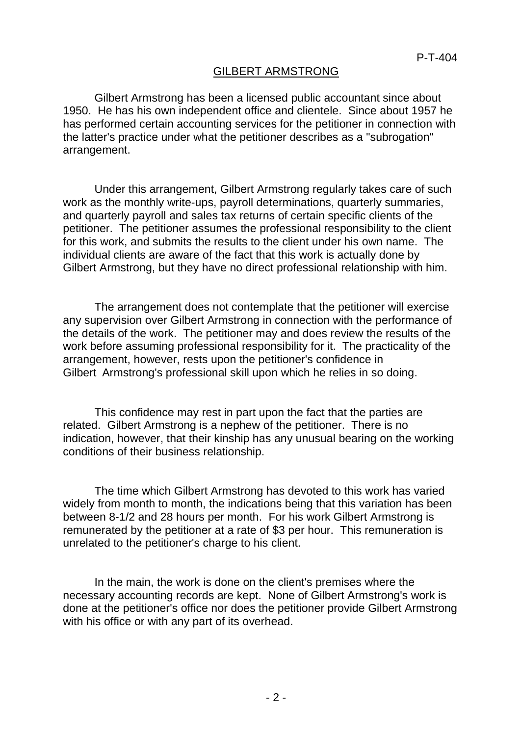### GILBERT ARMSTRONG

Gilbert Armstrong has been a licensed public accountant since about 1950. He has his own independent office and clientele. Since about 1957 he has performed certain accounting services for the petitioner in connection with the latter's practice under what the petitioner describes as a "subrogation" arrangement.

Under this arrangement, Gilbert Armstrong regularly takes care of such work as the monthly write-ups, payroll determinations, quarterly summaries, and quarterly payroll and sales tax returns of certain specific clients of the petitioner. The petitioner assumes the professional responsibility to the client for this work, and submits the results to the client under his own name. The individual clients are aware of the fact that this work is actually done by Gilbert Armstrong, but they have no direct professional relationship with him.

The arrangement does not contemplate that the petitioner will exercise any supervision over Gilbert Armstrong in connection with the performance of the details of the work. The petitioner may and does review the results of the work before assuming professional responsibility for it. The practicality of the arrangement, however, rests upon the petitioner's confidence in Gilbert Armstrong's professional skill upon which he relies in so doing.

This confidence may rest in part upon the fact that the parties are related. Gilbert Armstrong is a nephew of the petitioner. There is no indication, however, that their kinship has any unusual bearing on the working conditions of their business relationship.

The time which Gilbert Armstrong has devoted to this work has varied widely from month to month, the indications being that this variation has been between 8-1/2 and 28 hours per month. For his work Gilbert Armstrong is remunerated by the petitioner at a rate of \$3 per hour. This remuneration is unrelated to the petitioner's charge to his client.

In the main, the work is done on the client's premises where the necessary accounting records are kept. None of Gilbert Armstrong's work is done at the petitioner's office nor does the petitioner provide Gilbert Armstrong with his office or with any part of its overhead.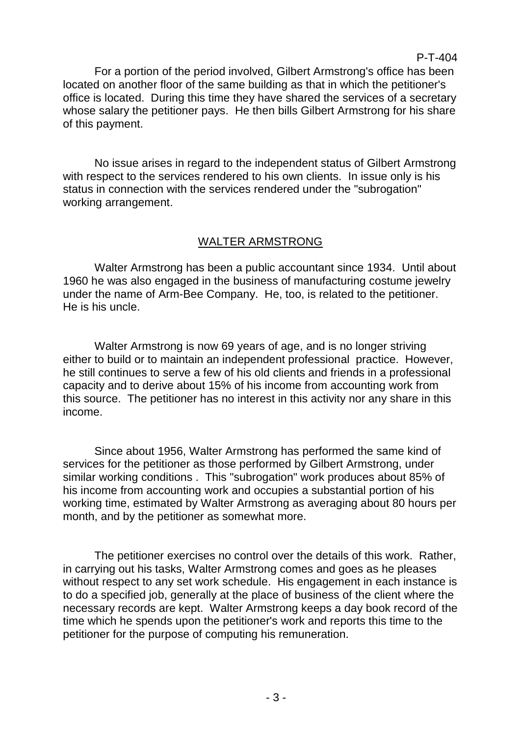For a portion of the period involved, Gilbert Armstrong's office has been located on another floor of the same building as that in which the petitioner's office is located. During this time they have shared the services of a secretary whose salary the petitioner pays. He then bills Gilbert Armstrong for his share of this payment.

P-T-404

No issue arises in regard to the independent status of Gilbert Armstrong with respect to the services rendered to his own clients. In issue only is his status in connection with the services rendered under the "subrogation" working arrangement.

## WALTER ARMSTRONG

Walter Armstrong has been a public accountant since 1934. Until about 1960 he was also engaged in the business of manufacturing costume jewelry under the name of Arm-Bee Company. He, too, is related to the petitioner. He is his uncle.

Walter Armstrong is now 69 years of age, and is no longer striving either to build or to maintain an independent professional practice. However, he still continues to serve a few of his old clients and friends in a professional capacity and to derive about 15% of his income from accounting work from this source. The petitioner has no interest in this activity nor any share in this income.

Since about 1956, Walter Armstrong has performed the same kind of services for the petitioner as those performed by Gilbert Armstrong, under similar working conditions . This "subrogation" work produces about 85% of his income from accounting work and occupies a substantial portion of his working time, estimated by Walter Armstrong as averaging about 80 hours per month, and by the petitioner as somewhat more.

The petitioner exercises no control over the details of this work. Rather, in carrying out his tasks, Walter Armstrong comes and goes as he pleases without respect to any set work schedule. His engagement in each instance is to do a specified job, generally at the place of business of the client where the necessary records are kept. Walter Armstrong keeps a day book record of the time which he spends upon the petitioner's work and reports this time to the petitioner for the purpose of computing his remuneration.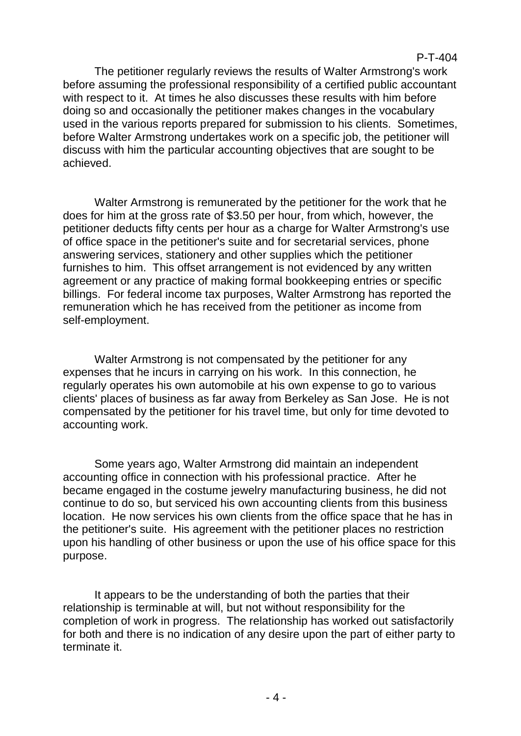The petitioner regularly reviews the results of Walter Armstrong's work before assuming the professional responsibility of a certified public accountant with respect to it. At times he also discusses these results with him before doing so and occasionally the petitioner makes changes in the vocabulary used in the various reports prepared for submission to his clients. Sometimes, before Walter Armstrong undertakes work on a specific job, the petitioner will discuss with him the particular accounting objectives that are sought to be achieved.

Walter Armstrong is remunerated by the petitioner for the work that he does for him at the gross rate of \$3.50 per hour, from which, however, the petitioner deducts fifty cents per hour as a charge for Walter Armstrong's use of office space in the petitioner's suite and for secretarial services, phone answering services, stationery and other supplies which the petitioner furnishes to him. This offset arrangement is not evidenced by any written agreement or any practice of making formal bookkeeping entries or specific billings. For federal income tax purposes, Walter Armstrong has reported the remuneration which he has received from the petitioner as income from self-employment.

Walter Armstrong is not compensated by the petitioner for any expenses that he incurs in carrying on his work. In this connection, he regularly operates his own automobile at his own expense to go to various clients' places of business as far away from Berkeley as San Jose. He is not compensated by the petitioner for his travel time, but only for time devoted to accounting work.

Some years ago, Walter Armstrong did maintain an independent accounting office in connection with his professional practice. After he became engaged in the costume jewelry manufacturing business, he did not continue to do so, but serviced his own accounting clients from this business location. He now services his own clients from the office space that he has in the petitioner's suite. His agreement with the petitioner places no restriction upon his handling of other business or upon the use of his office space for this purpose.

It appears to be the understanding of both the parties that their relationship is terminable at will, but not without responsibility for the completion of work in progress. The relationship has worked out satisfactorily for both and there is no indication of any desire upon the part of either party to terminate it.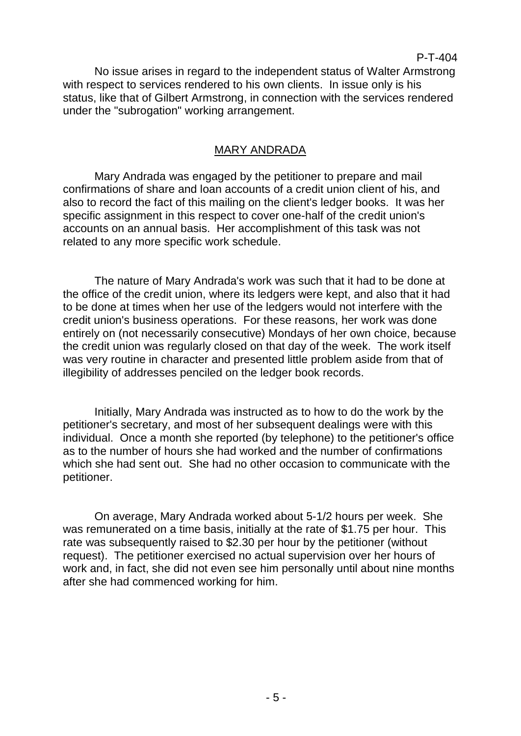P-T-404

No issue arises in regard to the independent status of Walter Armstrong with respect to services rendered to his own clients. In issue only is his status, like that of Gilbert Armstrong, in connection with the services rendered under the "subrogation" working arrangement.

### MARY ANDRADA

Mary Andrada was engaged by the petitioner to prepare and mail confirmations of share and loan accounts of a credit union client of his, and also to record the fact of this mailing on the client's ledger books. It was her specific assignment in this respect to cover one-half of the credit union's accounts on an annual basis. Her accomplishment of this task was not related to any more specific work schedule.

The nature of Mary Andrada's work was such that it had to be done at the office of the credit union, where its ledgers were kept, and also that it had to be done at times when her use of the ledgers would not interfere with the credit union's business operations. For these reasons, her work was done entirely on (not necessarily consecutive) Mondays of her own choice, because the credit union was regularly closed on that day of the week. The work itself was very routine in character and presented little problem aside from that of illegibility of addresses penciled on the ledger book records.

Initially, Mary Andrada was instructed as to how to do the work by the petitioner's secretary, and most of her subsequent dealings were with this individual. Once a month she reported (by telephone) to the petitioner's office as to the number of hours she had worked and the number of confirmations which she had sent out. She had no other occasion to communicate with the petitioner.

On average, Mary Andrada worked about 5-1/2 hours per week. She was remunerated on a time basis, initially at the rate of \$1.75 per hour. This rate was subsequently raised to \$2.30 per hour by the petitioner (without request). The petitioner exercised no actual supervision over her hours of work and, in fact, she did not even see him personally until about nine months after she had commenced working for him.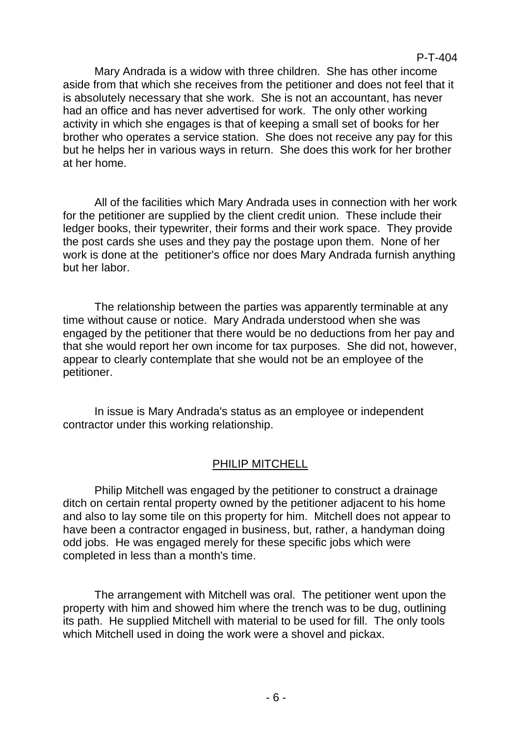Mary Andrada is a widow with three children. She has other income aside from that which she receives from the petitioner and does not feel that it is absolutely necessary that she work. She is not an accountant, has never had an office and has never advertised for work. The only other working activity in which she engages is that of keeping a small set of books for her brother who operates a service station. She does not receive any pay for this but he helps her in various ways in return. She does this work for her brother at her home.

All of the facilities which Mary Andrada uses in connection with her work for the petitioner are supplied by the client credit union. These include their ledger books, their typewriter, their forms and their work space. They provide the post cards she uses and they pay the postage upon them. None of her work is done at the petitioner's office nor does Mary Andrada furnish anything but her labor.

The relationship between the parties was apparently terminable at any time without cause or notice. Mary Andrada understood when she was engaged by the petitioner that there would be no deductions from her pay and that she would report her own income for tax purposes. She did not, however, appear to clearly contemplate that she would not be an employee of the petitioner.

In issue is Mary Andrada's status as an employee or independent contractor under this working relationship.

## PHILIP MITCHELL

Philip Mitchell was engaged by the petitioner to construct a drainage ditch on certain rental property owned by the petitioner adjacent to his home and also to lay some tile on this property for him. Mitchell does not appear to have been a contractor engaged in business, but, rather, a handyman doing odd jobs. He was engaged merely for these specific jobs which were completed in less than a month's time.

The arrangement with Mitchell was oral. The petitioner went upon the property with him and showed him where the trench was to be dug, outlining its path. He supplied Mitchell with material to be used for fill. The only tools which Mitchell used in doing the work were a shovel and pickax.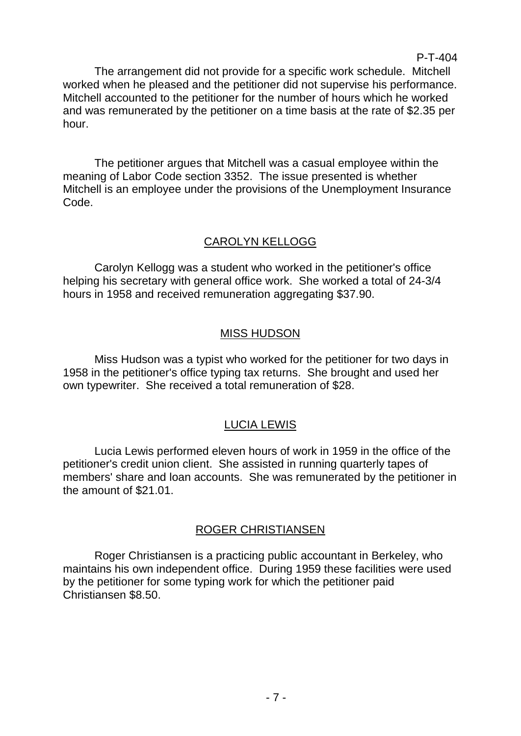The arrangement did not provide for a specific work schedule. Mitchell worked when he pleased and the petitioner did not supervise his performance. Mitchell accounted to the petitioner for the number of hours which he worked and was remunerated by the petitioner on a time basis at the rate of \$2.35 per hour.

P-T-404

The petitioner argues that Mitchell was a casual employee within the meaning of Labor Code section 3352. The issue presented is whether Mitchell is an employee under the provisions of the Unemployment Insurance Code.

## CAROLYN KELLOGG

Carolyn Kellogg was a student who worked in the petitioner's office helping his secretary with general office work. She worked a total of 24-3/4 hours in 1958 and received remuneration aggregating \$37.90.

# MISS HUDSON

Miss Hudson was a typist who worked for the petitioner for two days in 1958 in the petitioner's office typing tax returns. She brought and used her own typewriter. She received a total remuneration of \$28.

# LUCIA LEWIS

Lucia Lewis performed eleven hours of work in 1959 in the office of the petitioner's credit union client. She assisted in running quarterly tapes of members' share and loan accounts. She was remunerated by the petitioner in the amount of \$21.01.

## ROGER CHRISTIANSEN

Roger Christiansen is a practicing public accountant in Berkeley, who maintains his own independent office. During 1959 these facilities were used by the petitioner for some typing work for which the petitioner paid Christiansen \$8.50.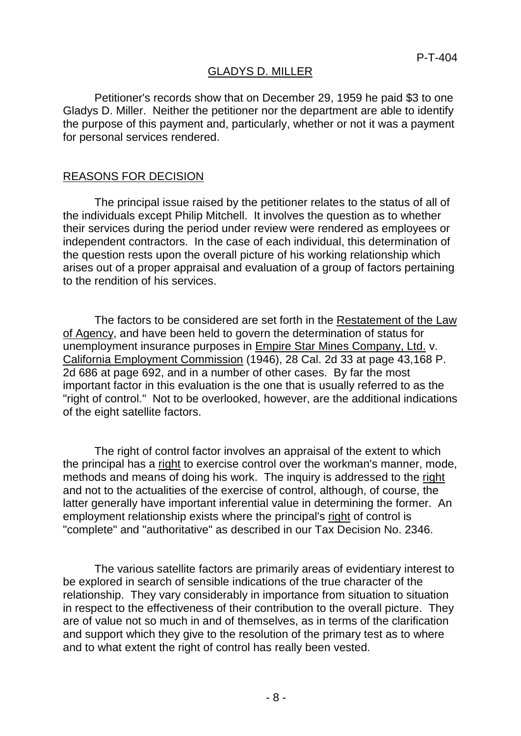### GLADYS D. MILLER

Petitioner's records show that on December 29, 1959 he paid \$3 to one Gladys D. Miller. Neither the petitioner nor the department are able to identify the purpose of this payment and, particularly, whether or not it was a payment for personal services rendered.

#### REASONS FOR DECISION

The principal issue raised by the petitioner relates to the status of all of the individuals except Philip Mitchell. It involves the question as to whether their services during the period under review were rendered as employees or independent contractors. In the case of each individual, this determination of the question rests upon the overall picture of his working relationship which arises out of a proper appraisal and evaluation of a group of factors pertaining to the rendition of his services.

The factors to be considered are set forth in the Restatement of the Law of Agency, and have been held to govern the determination of status for unemployment insurance purposes in Empire Star Mines Company, Ltd. v. California Employment Commission (1946), 28 Cal. 2d 33 at page 43,168 P. 2d 686 at page 692, and in a number of other cases. By far the most important factor in this evaluation is the one that is usually referred to as the "right of control." Not to be overlooked, however, are the additional indications of the eight satellite factors.

The right of control factor involves an appraisal of the extent to which the principal has a right to exercise control over the workman's manner, mode, methods and means of doing his work. The inquiry is addressed to the right and not to the actualities of the exercise of control, although, of course, the latter generally have important inferential value in determining the former. An employment relationship exists where the principal's right of control is "complete" and "authoritative" as described in our Tax Decision No. 2346.

The various satellite factors are primarily areas of evidentiary interest to be explored in search of sensible indications of the true character of the relationship. They vary considerably in importance from situation to situation in respect to the effectiveness of their contribution to the overall picture. They are of value not so much in and of themselves, as in terms of the clarification and support which they give to the resolution of the primary test as to where and to what extent the right of control has really been vested.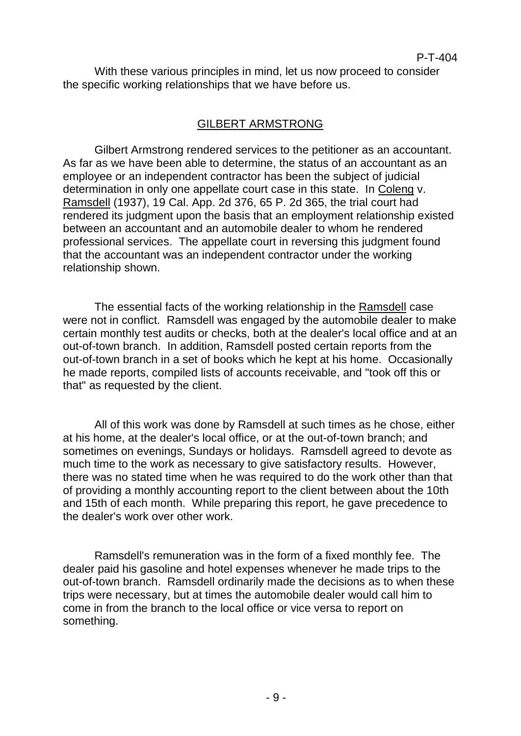With these various principles in mind, let us now proceed to consider the specific working relationships that we have before us.

### GILBERT ARMSTRONG

Gilbert Armstrong rendered services to the petitioner as an accountant. As far as we have been able to determine, the status of an accountant as an employee or an independent contractor has been the subject of judicial determination in only one appellate court case in this state. In Coleng v. Ramsdell (1937), 19 Cal. App. 2d 376, 65 P. 2d 365, the trial court had rendered its judgment upon the basis that an employment relationship existed between an accountant and an automobile dealer to whom he rendered professional services. The appellate court in reversing this judgment found that the accountant was an independent contractor under the working relationship shown.

The essential facts of the working relationship in the Ramsdell case were not in conflict. Ramsdell was engaged by the automobile dealer to make certain monthly test audits or checks, both at the dealer's local office and at an out-of-town branch. In addition, Ramsdell posted certain reports from the out-of-town branch in a set of books which he kept at his home. Occasionally he made reports, compiled lists of accounts receivable, and "took off this or that" as requested by the client.

All of this work was done by Ramsdell at such times as he chose, either at his home, at the dealer's local office, or at the out-of-town branch; and sometimes on evenings, Sundays or holidays. Ramsdell agreed to devote as much time to the work as necessary to give satisfactory results. However, there was no stated time when he was required to do the work other than that of providing a monthly accounting report to the client between about the 10th and 15th of each month. While preparing this report, he gave precedence to the dealer's work over other work.

Ramsdell's remuneration was in the form of a fixed monthly fee. The dealer paid his gasoline and hotel expenses whenever he made trips to the out-of-town branch. Ramsdell ordinarily made the decisions as to when these trips were necessary, but at times the automobile dealer would call him to come in from the branch to the local office or vice versa to report on something.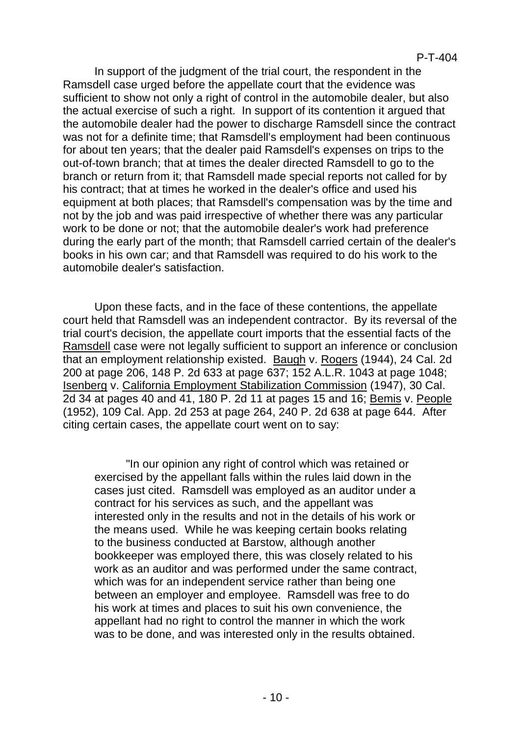In support of the judgment of the trial court, the respondent in the Ramsdell case urged before the appellate court that the evidence was sufficient to show not only a right of control in the automobile dealer, but also the actual exercise of such a right. In support of its contention it argued that the automobile dealer had the power to discharge Ramsdell since the contract was not for a definite time; that Ramsdell's employment had been continuous for about ten years; that the dealer paid Ramsdell's expenses on trips to the out-of-town branch; that at times the dealer directed Ramsdell to go to the branch or return from it; that Ramsdell made special reports not called for by his contract; that at times he worked in the dealer's office and used his equipment at both places; that Ramsdell's compensation was by the time and not by the job and was paid irrespective of whether there was any particular work to be done or not; that the automobile dealer's work had preference during the early part of the month; that Ramsdell carried certain of the dealer's books in his own car; and that Ramsdell was required to do his work to the automobile dealer's satisfaction.

Upon these facts, and in the face of these contentions, the appellate court held that Ramsdell was an independent contractor. By its reversal of the trial court's decision, the appellate court imports that the essential facts of the Ramsdell case were not legally sufficient to support an inference or conclusion that an employment relationship existed. Baugh v. Rogers (1944), 24 Cal. 2d 200 at page 206, 148 P. 2d 633 at page 637; 152 A.L.R. 1043 at page 1048; Isenberg v. California Employment Stabilization Commission (1947), 30 Cal. 2d 34 at pages 40 and 41, 180 P. 2d 11 at pages 15 and 16; Bemis v. People (1952), 109 Cal. App. 2d 253 at page 264, 240 P. 2d 638 at page 644. After citing certain cases, the appellate court went on to say:

"In our opinion any right of control which was retained or exercised by the appellant falls within the rules laid down in the cases just cited. Ramsdell was employed as an auditor under a contract for his services as such, and the appellant was interested only in the results and not in the details of his work or the means used. While he was keeping certain books relating to the business conducted at Barstow, although another bookkeeper was employed there, this was closely related to his work as an auditor and was performed under the same contract, which was for an independent service rather than being one between an employer and employee. Ramsdell was free to do his work at times and places to suit his own convenience, the appellant had no right to control the manner in which the work was to be done, and was interested only in the results obtained.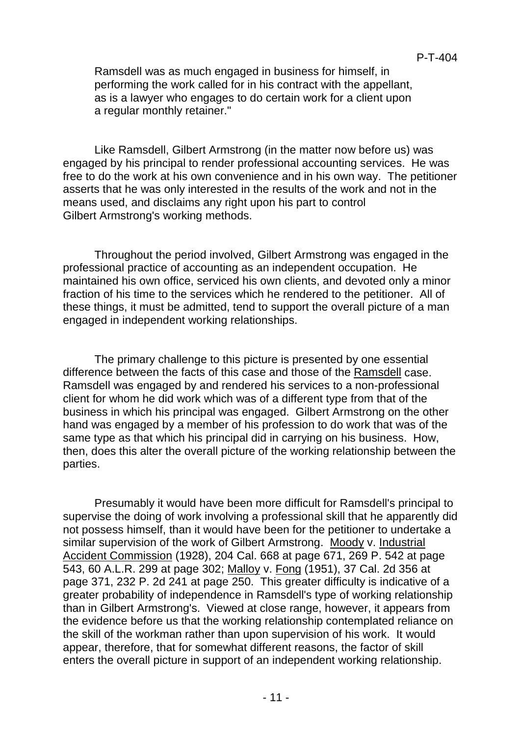Ramsdell was as much engaged in business for himself, in performing the work called for in his contract with the appellant, as is a lawyer who engages to do certain work for a client upon a regular monthly retainer."

Like Ramsdell, Gilbert Armstrong (in the matter now before us) was engaged by his principal to render professional accounting services. He was free to do the work at his own convenience and in his own way. The petitioner asserts that he was only interested in the results of the work and not in the means used, and disclaims any right upon his part to control Gilbert Armstrong's working methods.

Throughout the period involved, Gilbert Armstrong was engaged in the professional practice of accounting as an independent occupation. He maintained his own office, serviced his own clients, and devoted only a minor fraction of his time to the services which he rendered to the petitioner. All of these things, it must be admitted, tend to support the overall picture of a man engaged in independent working relationships.

The primary challenge to this picture is presented by one essential difference between the facts of this case and those of the Ramsdell case. Ramsdell was engaged by and rendered his services to a non-professional client for whom he did work which was of a different type from that of the business in which his principal was engaged. Gilbert Armstrong on the other hand was engaged by a member of his profession to do work that was of the same type as that which his principal did in carrying on his business. How, then, does this alter the overall picture of the working relationship between the parties.

Presumably it would have been more difficult for Ramsdell's principal to supervise the doing of work involving a professional skill that he apparently did not possess himself, than it would have been for the petitioner to undertake a similar supervision of the work of Gilbert Armstrong. Moody v. Industrial Accident Commission (1928), 204 Cal. 668 at page 671, 269 P. 542 at page 543, 60 A.L.R. 299 at page 302; Malloy v. Fong (1951), 37 Cal. 2d 356 at page 371, 232 P. 2d 241 at page 250. This greater difficulty is indicative of a greater probability of independence in Ramsdell's type of working relationship than in Gilbert Armstrong's. Viewed at close range, however, it appears from the evidence before us that the working relationship contemplated reliance on the skill of the workman rather than upon supervision of his work. It would appear, therefore, that for somewhat different reasons, the factor of skill enters the overall picture in support of an independent working relationship.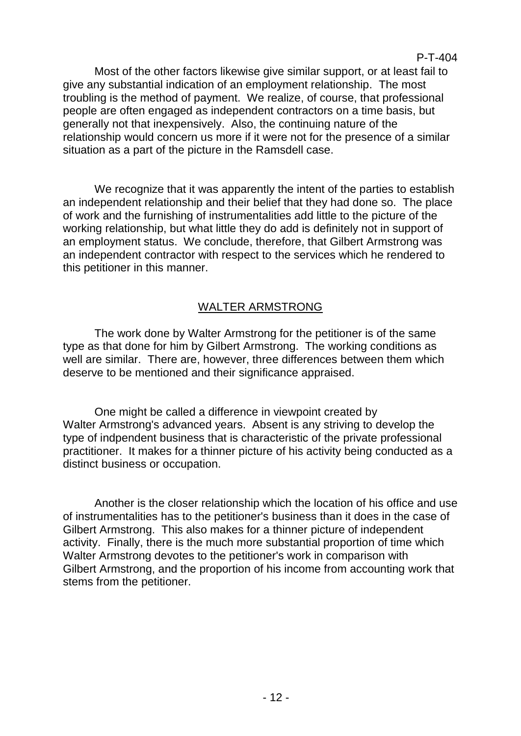Most of the other factors likewise give similar support, or at least fail to give any substantial indication of an employment relationship. The most troubling is the method of payment. We realize, of course, that professional people are often engaged as independent contractors on a time basis, but generally not that inexpensively. Also, the continuing nature of the relationship would concern us more if it were not for the presence of a similar

P-T-404

We recognize that it was apparently the intent of the parties to establish an independent relationship and their belief that they had done so. The place of work and the furnishing of instrumentalities add little to the picture of the working relationship, but what little they do add is definitely not in support of an employment status. We conclude, therefore, that Gilbert Armstrong was an independent contractor with respect to the services which he rendered to this petitioner in this manner.

situation as a part of the picture in the Ramsdell case.

## WALTER ARMSTRONG

The work done by Walter Armstrong for the petitioner is of the same type as that done for him by Gilbert Armstrong. The working conditions as well are similar. There are, however, three differences between them which deserve to be mentioned and their significance appraised.

One might be called a difference in viewpoint created by Walter Armstrong's advanced years. Absent is any striving to develop the type of indpendent business that is characteristic of the private professional practitioner. It makes for a thinner picture of his activity being conducted as a distinct business or occupation.

Another is the closer relationship which the location of his office and use of instrumentalities has to the petitioner's business than it does in the case of Gilbert Armstrong. This also makes for a thinner picture of independent activity. Finally, there is the much more substantial proportion of time which Walter Armstrong devotes to the petitioner's work in comparison with Gilbert Armstrong, and the proportion of his income from accounting work that stems from the petitioner.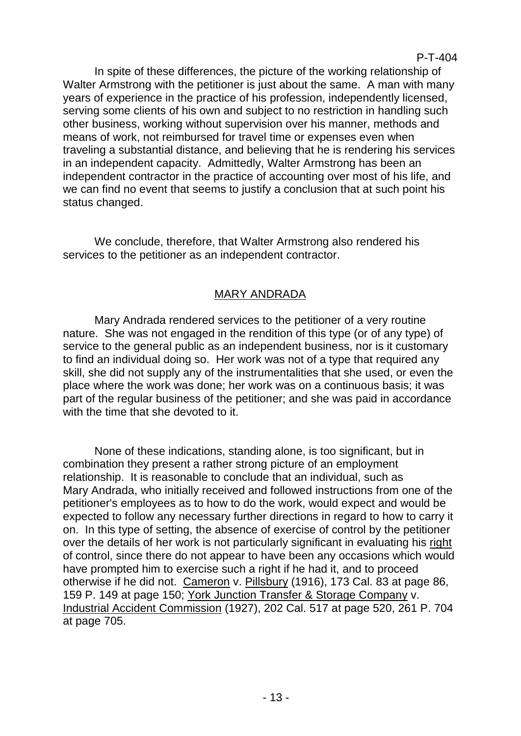In spite of these differences, the picture of the working relationship of Walter Armstrong with the petitioner is just about the same. A man with many years of experience in the practice of his profession, independently licensed, serving some clients of his own and subject to no restriction in handling such other business, working without supervision over his manner, methods and means of work, not reimbursed for travel time or expenses even when traveling a substantial distance, and believing that he is rendering his services in an independent capacity. Admittedly, Walter Armstrong has been an independent contractor in the practice of accounting over most of his life, and we can find no event that seems to justify a conclusion that at such point his status changed.

We conclude, therefore, that Walter Armstrong also rendered his services to the petitioner as an independent contractor.

# MARY ANDRADA

Mary Andrada rendered services to the petitioner of a very routine nature. She was not engaged in the rendition of this type (or of any type) of service to the general public as an independent business, nor is it customary to find an individual doing so. Her work was not of a type that required any skill, she did not supply any of the instrumentalities that she used, or even the place where the work was done; her work was on a continuous basis; it was part of the regular business of the petitioner; and she was paid in accordance with the time that she devoted to it.

None of these indications, standing alone, is too significant, but in combination they present a rather strong picture of an employment relationship. It is reasonable to conclude that an individual, such as Mary Andrada, who initially received and followed instructions from one of the petitioner's employees as to how to do the work, would expect and would be expected to follow any necessary further directions in regard to how to carry it on. In this type of setting, the absence of exercise of control by the petitioner over the details of her work is not particularly significant in evaluating his right of control, since there do not appear to have been any occasions which would have prompted him to exercise such a right if he had it, and to proceed otherwise if he did not. Cameron v. Pillsbury (1916), 173 Cal. 83 at page 86, 159 P. 149 at page 150; York Junction Transfer & Storage Company v. Industrial Accident Commission (1927), 202 Cal. 517 at page 520, 261 P. 704 at page 705.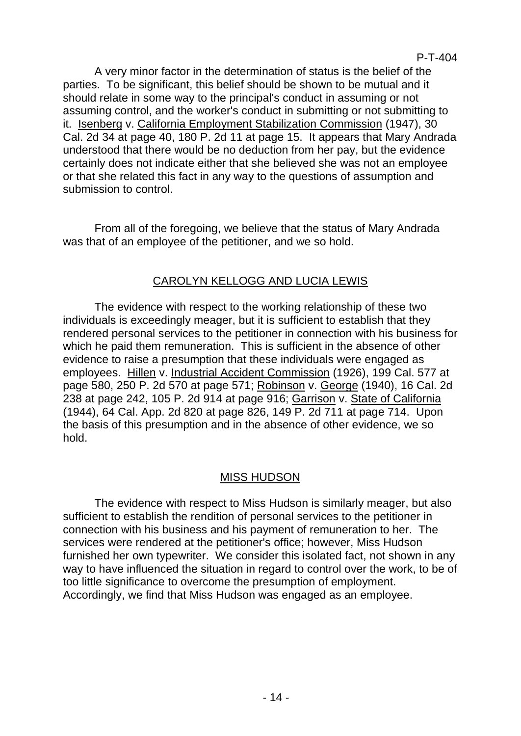A very minor factor in the determination of status is the belief of the parties. To be significant, this belief should be shown to be mutual and it should relate in some way to the principal's conduct in assuming or not assuming control, and the worker's conduct in submitting or not submitting to it. Isenberg v. California Employment Stabilization Commission (1947), 30 Cal. 2d 34 at page 40, 180 P. 2d 11 at page 15. It appears that Mary Andrada understood that there would be no deduction from her pay, but the evidence certainly does not indicate either that she believed she was not an employee or that she related this fact in any way to the questions of assumption and submission to control.

From all of the foregoing, we believe that the status of Mary Andrada was that of an employee of the petitioner, and we so hold.

## CAROLYN KELLOGG AND LUCIA LEWIS

The evidence with respect to the working relationship of these two individuals is exceedingly meager, but it is sufficient to establish that they rendered personal services to the petitioner in connection with his business for which he paid them remuneration. This is sufficient in the absence of other evidence to raise a presumption that these individuals were engaged as employees. Hillen v. Industrial Accident Commission (1926), 199 Cal. 577 at page 580, 250 P. 2d 570 at page 571; Robinson v. George (1940), 16 Cal. 2d 238 at page 242, 105 P. 2d 914 at page 916; Garrison v. State of California (1944), 64 Cal. App. 2d 820 at page 826, 149 P. 2d 711 at page 714. Upon the basis of this presumption and in the absence of other evidence, we so hold.

## MISS HUDSON

The evidence with respect to Miss Hudson is similarly meager, but also sufficient to establish the rendition of personal services to the petitioner in connection with his business and his payment of remuneration to her. The services were rendered at the petitioner's office; however, Miss Hudson furnished her own typewriter. We consider this isolated fact, not shown in any way to have influenced the situation in regard to control over the work, to be of too little significance to overcome the presumption of employment. Accordingly, we find that Miss Hudson was engaged as an employee.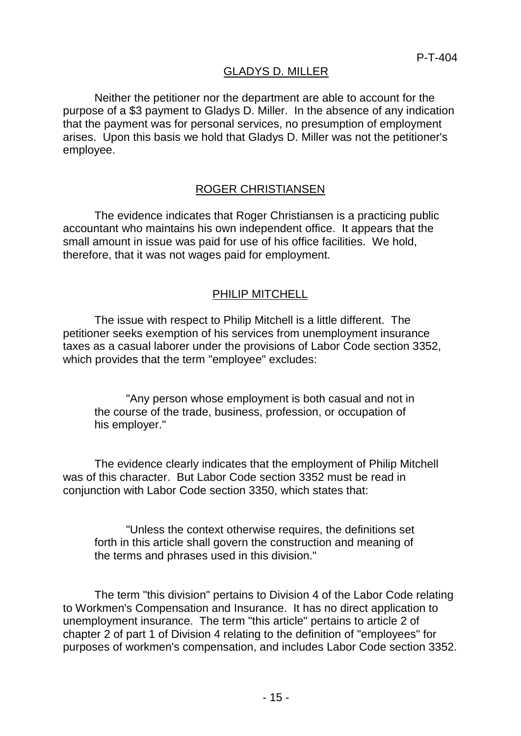## GLADYS D. MILLER

Neither the petitioner nor the department are able to account for the purpose of a \$3 payment to Gladys D. Miller. In the absence of any indication that the payment was for personal services, no presumption of employment arises. Upon this basis we hold that Gladys D. Miller was not the petitioner's employee.

### ROGER CHRISTIANSEN

The evidence indicates that Roger Christiansen is a practicing public accountant who maintains his own independent office. It appears that the small amount in issue was paid for use of his office facilities. We hold, therefore, that it was not wages paid for employment.

#### PHILIP MITCHELL

The issue with respect to Philip Mitchell is a little different. The petitioner seeks exemption of his services from unemployment insurance taxes as a casual laborer under the provisions of Labor Code section 3352, which provides that the term "employee" excludes:

"Any person whose employment is both casual and not in the course of the trade, business, profession, or occupation of his employer."

The evidence clearly indicates that the employment of Philip Mitchell was of this character. But Labor Code section 3352 must be read in conjunction with Labor Code section 3350, which states that:

"Unless the context otherwise requires, the definitions set forth in this article shall govern the construction and meaning of the terms and phrases used in this division."

The term "this division" pertains to Division 4 of the Labor Code relating to Workmen's Compensation and Insurance. It has no direct application to unemployment insurance. The term "this article" pertains to article 2 of chapter 2 of part 1 of Division 4 relating to the definition of "employees" for purposes of workmen's compensation, and includes Labor Code section 3352.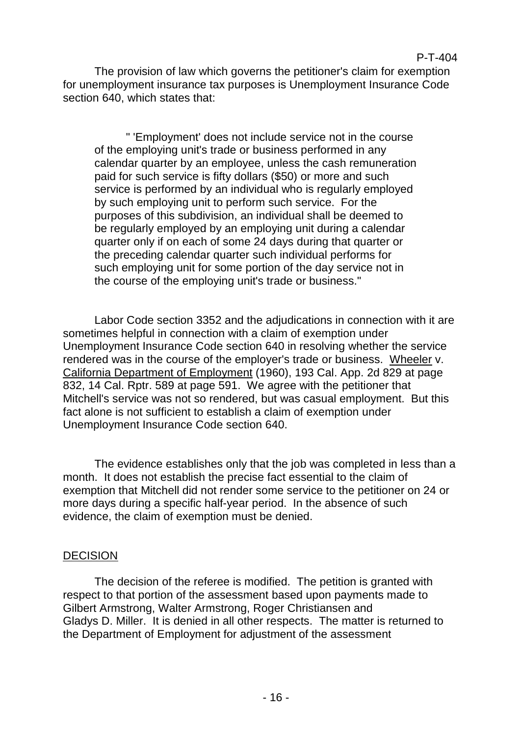#### P-T-404

The provision of law which governs the petitioner's claim for exemption for unemployment insurance tax purposes is Unemployment Insurance Code section 640, which states that:

" 'Employment' does not include service not in the course of the employing unit's trade or business performed in any calendar quarter by an employee, unless the cash remuneration paid for such service is fifty dollars (\$50) or more and such service is performed by an individual who is regularly employed by such employing unit to perform such service. For the purposes of this subdivision, an individual shall be deemed to be regularly employed by an employing unit during a calendar quarter only if on each of some 24 days during that quarter or the preceding calendar quarter such individual performs for such employing unit for some portion of the day service not in the course of the employing unit's trade or business."

Labor Code section 3352 and the adjudications in connection with it are sometimes helpful in connection with a claim of exemption under Unemployment Insurance Code section 640 in resolving whether the service rendered was in the course of the employer's trade or business. Wheeler v. California Department of Employment (1960), 193 Cal. App. 2d 829 at page 832, 14 Cal. Rptr. 589 at page 591. We agree with the petitioner that Mitchell's service was not so rendered, but was casual employment. But this fact alone is not sufficient to establish a claim of exemption under Unemployment Insurance Code section 640.

The evidence establishes only that the job was completed in less than a month. It does not establish the precise fact essential to the claim of exemption that Mitchell did not render some service to the petitioner on 24 or more days during a specific half-year period. In the absence of such evidence, the claim of exemption must be denied.

### DECISION

The decision of the referee is modified. The petition is granted with respect to that portion of the assessment based upon payments made to Gilbert Armstrong, Walter Armstrong, Roger Christiansen and Gladys D. Miller. It is denied in all other respects. The matter is returned to the Department of Employment for adjustment of the assessment